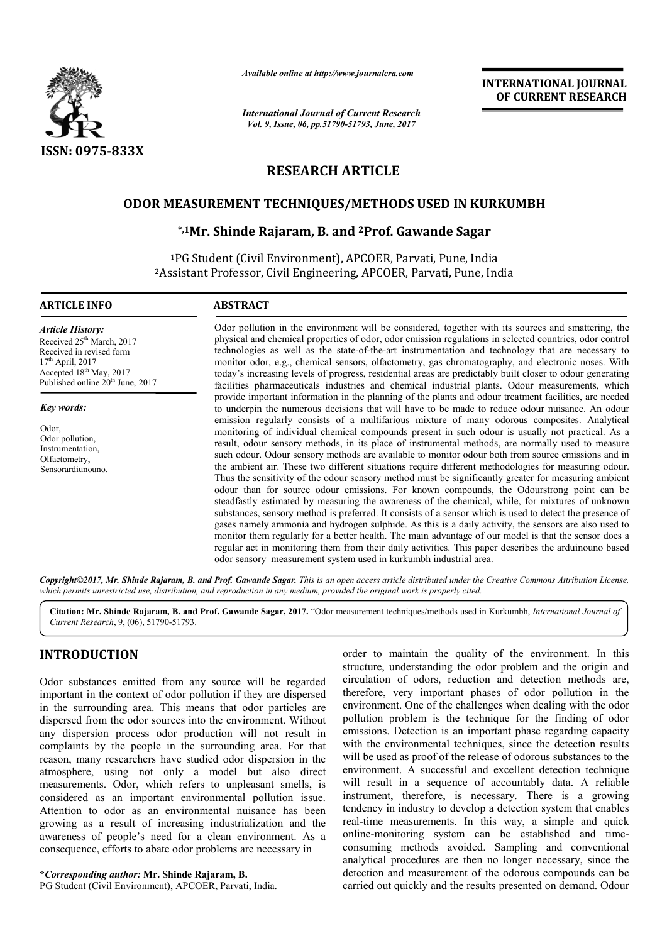

*Available online at http://www.journalcra.com*

*International Journal of Current Research Vol. 9, Issue, 06, pp.51790-51793, June, 2017*

**INTERNATIONAL JOURNAL OF CURRENT RESEARCH** 

# **RESEARCH ARTICLE**

## **ODOR MEASUREMENT TECHNIQUES/METHODS USED IN KURKUMBH**

## **\*,1Mr. Shinde Rajaram Mr. Rajaram, B. and 2Prof. Gawande Sagar**

1PG Student (Civil Civil Environment), APCOER, Parvati, Pune, India <sup>2</sup>Assistant Professor, Civil Engineering, APCOER, Parvati, Pune, India

#### **ARTICLE INFO ABSTRACT**

*Article History:* Received 25<sup>th</sup> March, 2017 Received in revised form 17th April, 2017 Accepted 18<sup>th</sup> May, 2017 Published online 20<sup>th</sup> June, 2017

*Key words:*

Odor, Odor pollution, Instrumentation, Olfactometry, Sensorardiunouno.

Odor pollution in the environment will be considered, together with its sources and smattering, the physical and chemical properties of odor, odor emission regulations in selected countries, odor control technologies as well as the state-of-the-art instrumentation and technology that are necessary to monitor odor, e.g., chemical sensors, olfactometry, gas chromatography, and electronic noses. With today's increasing levels of progress, residential areas are predictably built closer to odour generating facilities pharmaceuticals industries and chemical industrial plants. Odour measurements, which provide important information in the planning of the plants and odour treatment facilities, are needed to underpin the numerous decisions that will have to be made to reduce odour nuisance. An odour emission regularly consists of a multifarious mixture of many odorous composites. Analytical monitoring of individual chemical compounds present in such odour is usually not practical. As a result, odour sensory methods, in its place of instrumental methods, are normally used to measure such odour. Odour sensory methods are available to monitor odour both from source emissions and in the ambient air. These two different situations require different methodologies for measuri Thus the sensitivity of the odour sensory method must be significantly greater for measuring ambient odour than for source odour emissions. For known compounds, the Odourstrong point can be steadfastly estimated by measuring the awareness of the chemical, while, for mixtures of unknown substances, sensory method is preferred. It consists of a sensor which is used to detect the presence of gases namely ammonia and hydrogen sulphide. As this is a daily activity, the sensors are also used to monitor them regularly for a better health. The main advantage of our model is that the sensor does a regular act in monitoring them from their daily activities. This paper describes the arduinouno based odor sensory measurement system used in kurkumbh industrial area ities pharmaceuticals industries and chemical industrial plants. Odour measurements, which<br>ide important information in the planning of the plants and odour treatment facilities, are needed<br>inderpin the numerous decisions Odor pollution in the environment will be considered, together with its sources and smattering, the physical and chemical properties of odor, odor emission regulations in selected countries, odor control technologies as we Thus the sensitivity of the odour sensory method must be significantly greater for measuring odour than for source odour emissions. For known compounds, the Odourstrong point steadfastly estimated by measuring the awarenes INTERNATIONAL JOURNAL<br>
INTERNATIONAL JOURNAL<br>
INTERNATIONAL JOURNAL<br>
INTERNATIONAL OF CURRENT RESEARCH<br>
Thence 2017<br>
CLE<br>
THODS USED IN KURKUMBH<br>
TO. Gawarnde Sagar<br>
ER, Parvati, Pune, India<br>
be considered, together with

Copyright©2017, Mr. Shinde Rajaram, B. and Prof. Gawande Sagar. This is an open access article distributed under the Creative Commons Attribution License, which permits unrestricted use, distribution, and reproduction in any medium, provided the original work is properly cited.

Citation: Mr. Shinde Rajaram, B. and Prof. Gawande Sagar, 2017. "Odor measurement techniques/methods used in Kurkumbh, *International Journal of Current Research*, 9, (06), 51790-51793.

## **INTRODUCTION**

Odor substances emitted from any source will be regarded important in the context of odor pollution if they are dispersed in the surrounding area. This means that odor particles are dispersed from the odor sources into the environment. Without any dispersion process odor production will not result in complaints by the people in the surrounding area. For that reason, many researchers have studied odor dispersion in the atmosphere, using not only a model but also direct measurements. Odor, which refers to unpleasant smells, is considered as an important environmental pollution issue. Attention to odor as an environmental nuisance has been growing as a result of increasing industrialization and the awareness of people's need for a clean environment. As a consequence, efforts to abate odor problems are necessary in on process odor production will not result in<br>by the people in the surrounding area. For that<br>y researchers have studied odor dispersion in the<br>using not only a model but also direct<br>ts. Odor, which refers to unpleasant sm

**\****Corresponding author:* **Mr. Shinde Rajaram, B.**  consequence, efforts to abate odor problems are nece<br>
\*Corresponding author: Mr. Shinde Rajaram, B.<br>PG Student (Civil Environment), APCOER, Parvati, India. order to maintain the quality of the environment. In this structure, understanding the odor problem and the origin and circulation of odors, reduction and detection methods are, therefore, very important phases of odor pollution in the environment. One of the challenges when dealing with the odor pollution problem is the technique for the finding of odor emissions. Detection is an important phase regarding capacity with the environmental techniques, since the detection results with the environmental techniques, since the detection results<br>will be used as proof of the release of odorous substances to the environment. A successful and excellent detection technique will result in a sequence of accountably data. A reliable instrument, therefore, is necessary. There is a growing environment. A successful and excellent detection technique will result in a sequence of accountably data. A reliable instrument, therefore, is necessary. There is a growing tendency in industry to develop a detection syst real-time measurements. In this way, a simple and quick real-time measurements. In this way, a simple and quick online-monitoring system can be established and timeconsuming methods avoided. Sampling and conventional analytical procedures are then no longer necessary, since the detection and measurement of the odorous compounds can be carried out quickly and the results presented on demand. Odour order to maintain the quality of the environment. In this structure, understanding the odor problem and the origin and circulation of odors, reduction and detection methods are, therefore, very important phases of odor pol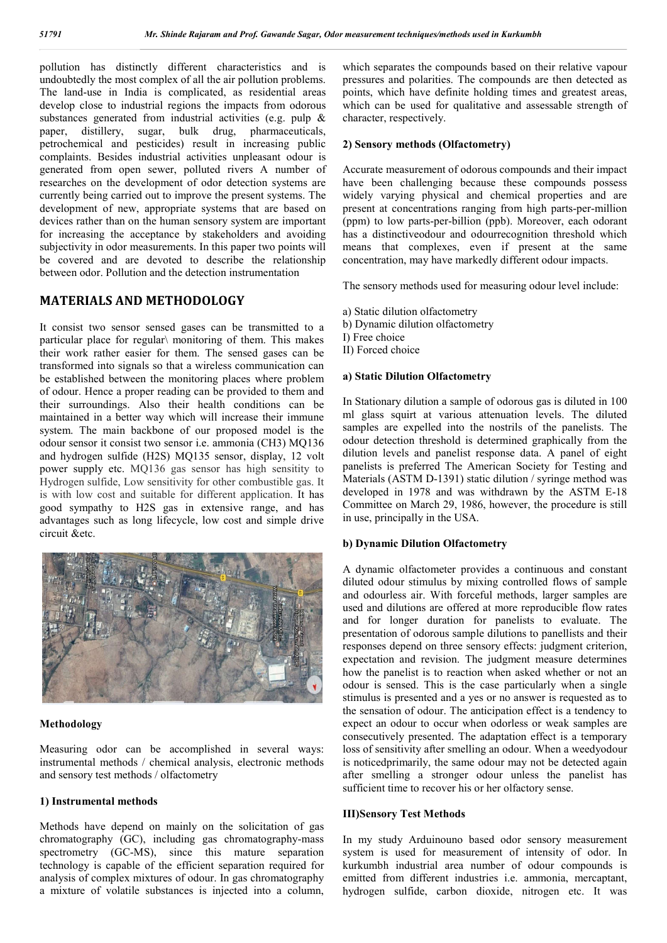pollution has distinctly different characteristics and is undoubtedly the most complex of all the air pollution problems. The land-use in India is complicated, as residential areas develop close to industrial regions the impacts from odorous substances generated from industrial activities (e.g. pulp & paper, distillery, sugar, bulk drug, pharmaceuticals, petrochemical and pesticides) result in increasing public complaints. Besides industrial activities unpleasant odour is generated from open sewer, polluted rivers A number of researches on the development of odor detection systems are currently being carried out to improve the present systems. The development of new, appropriate systems that are based on devices rather than on the human sensory system are important for increasing the acceptance by stakeholders and avoiding subjectivity in odor measurements. In this paper two points will be covered and are devoted to describe the relationship between odor. Pollution and the detection instrumentation

## **MATERIALS AND METHODOLOGY**

It consist two sensor sensed gases can be transmitted to a particular place for regular\ monitoring of them. This makes their work rather easier for them. The sensed gases can be transformed into signals so that a wireless communication can be established between the monitoring places where problem of odour. Hence a proper reading can be provided to them and their surroundings. Also their health conditions can be maintained in a better way which will increase their immune system. The main backbone of our proposed model is the odour sensor it consist two sensor i.e. ammonia (CH3) MQ136 and hydrogen sulfide (H2S) MQ135 sensor, display, 12 volt power supply etc. MQ136 gas sensor has high sensitity to Hydrogen sulfide, Low sensitivity for other combustible gas. It is with low cost and suitable for different application. It has good sympathy to H2S gas in extensive range, and has advantages such as long lifecycle, low cost and simple drive circuit &etc.



### **Methodology**

Measuring odor can be accomplished in several ways: instrumental methods / chemical analysis, electronic methods and sensory test methods / olfactometry

### **1) Instrumental methods**

Methods have depend on mainly on the solicitation of gas chromatography (GC), including gas chromatography-mass spectrometry (GC-MS), since this mature separation technology is capable of the efficient separation required for analysis of complex mixtures of odour. In gas chromatography a mixture of volatile substances is injected into a column,

which separates the compounds based on their relative vapour pressures and polarities. The compounds are then detected as points, which have definite holding times and greatest areas, which can be used for qualitative and assessable strength of character, respectively.

### **2) Sensory methods (Olfactometry)**

Accurate measurement of odorous compounds and their impact have been challenging because these compounds possess widely varying physical and chemical properties and are present at concentrations ranging from high parts-per-million (ppm) to low parts-per-billion (ppb). Moreover, each odorant has a distinctiveodour and odourrecognition threshold which means that complexes, even if present at the same concentration, may have markedly different odour impacts.

The sensory methods used for measuring odour level include:

- a) Static dilution olfactometry
- b) Dynamic dilution olfactometry
- I) Free choice
- II) Forced choice

### **a) Static Dilution Olfactometry**

In Stationary dilution a sample of odorous gas is diluted in 100 ml glass squirt at various attenuation levels. The diluted samples are expelled into the nostrils of the panelists. The odour detection threshold is determined graphically from the dilution levels and panelist response data. A panel of eight panelists is preferred The American Society for Testing and Materials (ASTM D-1391) static dilution / syringe method was developed in 1978 and was withdrawn by the ASTM E-18 Committee on March 29, 1986, however, the procedure is still in use, principally in the USA.

### **b) Dynamic Dilution Olfactometry**

A dynamic olfactometer provides a continuous and constant diluted odour stimulus by mixing controlled flows of sample and odourless air. With forceful methods, larger samples are used and dilutions are offered at more reproducible flow rates and for longer duration for panelists to evaluate. The presentation of odorous sample dilutions to panellists and their responses depend on three sensory effects: judgment criterion, expectation and revision. The judgment measure determines how the panelist is to reaction when asked whether or not an odour is sensed. This is the case particularly when a single stimulus is presented and a yes or no answer is requested as to the sensation of odour. The anticipation effect is a tendency to expect an odour to occur when odorless or weak samples are consecutively presented. The adaptation effect is a temporary loss of sensitivity after smelling an odour. When a weedyodour is noticedprimarily, the same odour may not be detected again after smelling a stronger odour unless the panelist has sufficient time to recover his or her olfactory sense.

### **III)Sensory Test Methods**

In my study Arduinouno based odor sensory measurement system is used for measurement of intensity of odor. In kurkumbh industrial area number of odour compounds is emitted from different industries i.e. ammonia, mercaptant, hydrogen sulfide, carbon dioxide, nitrogen etc. It was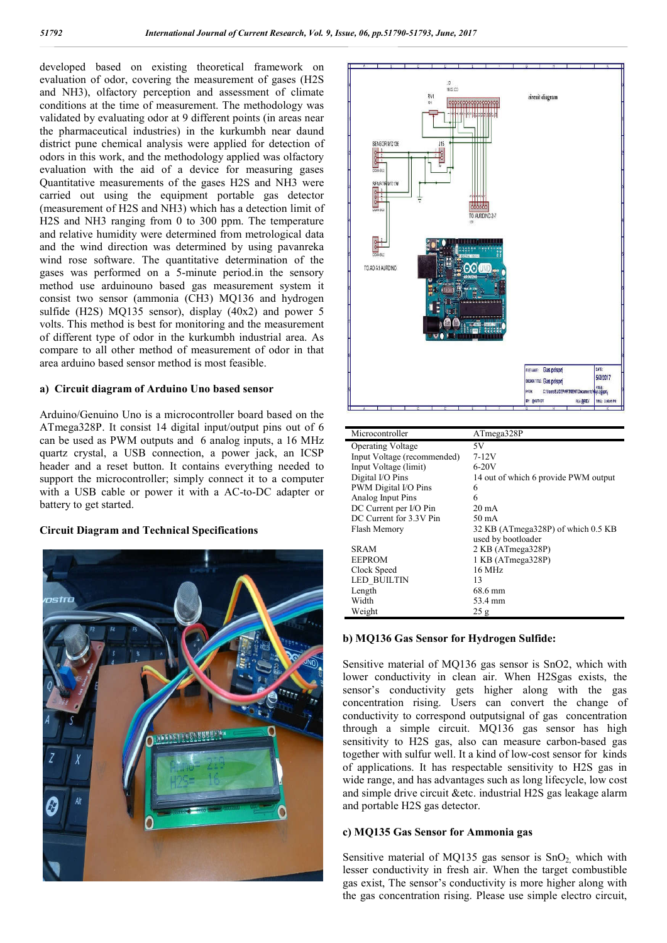developed based on existing theoretical framework on evaluation of odor, covering the measurement of gases (H2S and NH3), olfactory perception and assessment of climate conditions at the time of measurement. The methodology was validated by evaluating odor at 9 different points (in areas near the pharmaceutical industries) in the kurkumbh near daund district pune chemical analysis were applied for detection of odors in this work, and the methodology applied was olfactory evaluation with the aid of a device for measuring gases Quantitative measurements of the gases H2S and NH3 were carried out using the equipment portable gas detector (measurement of H2S and NH3) which has a detection limit of H2S and NH3 ranging from 0 to 300 ppm. The temperature and relative humidity were determined from metrological data and the wind direction was determined by using pavanreka wind rose software. The quantitative determination of the gases was performed on a 5-minute period.in the sensory method use arduinouno based gas measurement system it consist two sensor (ammonia (CH3) MQ136 and hydrogen sulfide (H2S) MQ135 sensor), display (40x2) and power 5 volts. This method is best for monitoring and the measurement of different type of odor in the kurkumbh industrial area. As compare to all other method of measurement of odor in that area arduino based sensor method is most feasible.

#### **a) Circuit diagram of Arduino Uno based sensor**

Arduino/Genuino Uno is a microcontroller board based on the ATmega328P. It consist 14 digital input/output pins out of 6 can be used as PWM outputs and 6 analog inputs, a 16 MHz quartz crystal, a USB connection, a power jack, an ICSP header and a reset button. It contains everything needed to support the microcontroller; simply connect it to a computer with a USB cable or power it with a AC-to-DC adapter or battery to get started.

#### **Circuit Diagram and Technical Specifications**





| Microcontroller             | ATmega328P                           |
|-----------------------------|--------------------------------------|
| <b>Operating Voltage</b>    | 5V                                   |
| Input Voltage (recommended) | $7 - 12V$                            |
| Input Voltage (limit)       | $6 - 20V$                            |
| Digital I/O Pins            | 14 out of which 6 provide PWM output |
| PWM Digital I/O Pins        | 6                                    |
| Analog Input Pins           | 6                                    |
| DC Current per I/O Pin      | $20 \text{ mA}$                      |
| DC Current for 3.3V Pin     | $50 \text{ mA}$                      |
| Flash Memory                | 32 KB (ATmega328P) of which 0.5 KB   |
|                             | used by bootloader                   |
| <b>SRAM</b>                 | 2 KB (ATmega328P)                    |
| <b>EEPROM</b>               | 1 KB (ATmega328P)                    |
| Clock Speed                 | 16 MHz                               |
| <b>LED BUILTIN</b>          | 13                                   |
| Length                      | 68.6 mm                              |
| Width                       | 53.4 mm                              |
| Weight                      | 25g                                  |

#### **b) MQ136 Gas Sensor for Hydrogen Sulfide:**

Sensitive material of MQ136 gas sensor is SnO2, which with lower conductivity in clean air. When H2Sgas exists, the sensor's conductivity gets higher along with the gas concentration rising. Users can convert the change of conductivity to correspond outputsignal of gas concentration through a simple circuit. MQ136 gas sensor has high sensitivity to H2S gas, also can measure carbon-based gas together with sulfur well. It a kind of low-cost sensor for kinds of applications. It has respectable sensitivity to H2S gas in wide range, and has advantages such as long lifecycle, low cost and simple drive circuit &etc. industrial H2S gas leakage alarm and portable H2S gas detector.

#### **c) MQ135 Gas Sensor for Ammonia gas**

Sensitive material of MQ135 gas sensor is  $SnO<sub>2</sub>$  which with lesser conductivity in fresh air. When the target combustible gas exist, The sensor's conductivity is more higher along with the gas concentration rising. Please use simple electro circuit,